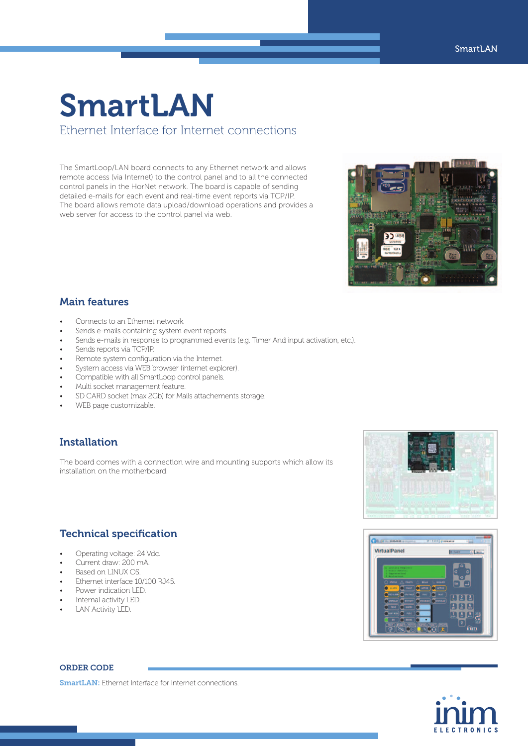### SmartLAN Ethernet Interface for Internet connections

The SmartLoop/LAN board connects to any Ethernet network and allows remote access (via Internet) to the control panel and to all the connected control panels in the HorNet network. The board is capable of sending detailed e-mails for each event and real-time event reports via TCP/IP. The board allows remote data upload/download operations and provides a web server for access to the control panel via web.



### Main features

- Connects to an Ethernet network.
- Sends e-mails containing system event reports.
- Sends e-mails in response to programmed events (e.g. Timer And input activation, etc.).
- Sends reports via TCP/IP.
- Remote system configuration via the Internet.
- System access via WEB browser (internet explorer).
- Compatible with all SmartLoop control panels.
- Multi socket management feature.

Technical specification

Ethernet interface 10/100 RJ45.

• Operating voltage: 24 Vdc. Current draw: 200 mA. Based on LINUX OS.

**Power indication LED.** Internal activity LED. **LAN Activity LED.** 

- SD CARD socket (max 2Gb) for Mails attachements storage.
- WEB page customizable.

### Installation

The board comes with a connection wire and mounting supports which allow its installation on the motherboard.



# 36.16 VirtualPanel



### ORDER CODE

**SmartLAN:** Ethernet Interface for Internet connections.